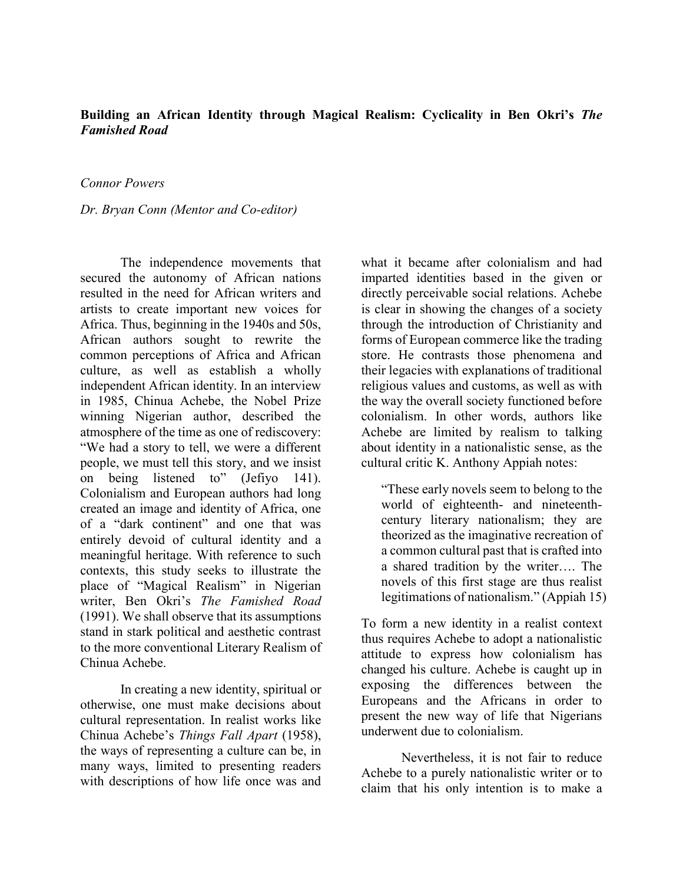## **Building an African Identity through Magical Realism: Cyclicality in Ben Okri's** *The Famished Road*

### *Connor Powers*

### *Dr. Bryan Conn (Mentor and Co-editor)*

The independence movements that secured the autonomy of African nations resulted in the need for African writers and artists to create important new voices for Africa. Thus, beginning in the 1940s and 50s, African authors sought to rewrite the common perceptions of Africa and African culture, as well as establish a wholly independent African identity. In an interview in 1985, Chinua Achebe, the Nobel Prize winning Nigerian author, described the atmosphere of the time as one of rediscovery: "We had a story to tell, we were a different people, we must tell this story, and we insist on being listened to" (Jefiyo 141). Colonialism and European authors had long created an image and identity of Africa, one of a "dark continent" and one that was entirely devoid of cultural identity and a meaningful heritage. With reference to such contexts, this study seeks to illustrate the place of "Magical Realism" in Nigerian writer, Ben Okri's *The Famished Road* (1991). We shall observe that its assumptions stand in stark political and aesthetic contrast to the more conventional Literary Realism of Chinua Achebe.

In creating a new identity, spiritual or otherwise, one must make decisions about cultural representation. In realist works like Chinua Achebe's *Things Fall Apart* (1958), the ways of representing a culture can be, in many ways, limited to presenting readers with descriptions of how life once was and what it became after colonialism and had imparted identities based in the given or directly perceivable social relations. Achebe is clear in showing the changes of a society through the introduction of Christianity and forms of European commerce like the trading store. He contrasts those phenomena and their legacies with explanations of traditional religious values and customs, as well as with the way the overall society functioned before colonialism. In other words, authors like Achebe are limited by realism to talking about identity in a nationalistic sense, as the cultural critic K. Anthony Appiah notes:

"These early novels seem to belong to the world of eighteenth- and nineteenthcentury literary nationalism; they are theorized as the imaginative recreation of a common cultural past that is crafted into a shared tradition by the writer…. The novels of this first stage are thus realist legitimations of nationalism." (Appiah 15)

To form a new identity in a realist context thus requires Achebe to adopt a nationalistic attitude to express how colonialism has changed his culture. Achebe is caught up in exposing the differences between the Europeans and the Africans in order to present the new way of life that Nigerians underwent due to colonialism.

Nevertheless, it is not fair to reduce Achebe to a purely nationalistic writer or to claim that his only intention is to make a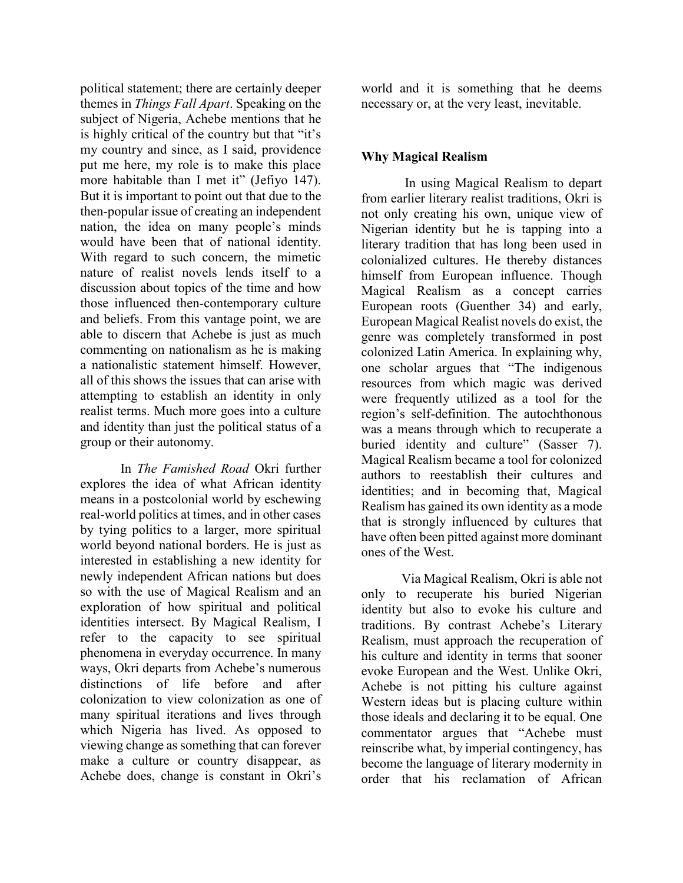political statement; there are certainly deeper themes in *Things Fall Apart*. Speaking on the subject of Nigeria, Achebe mentions that he is highly critical of the country but that "it's my country and since, as I said, providence put me here, my role is to make this place more habitable than I met it" (Jefiyo 147). But it is important to point out that due to the then-popular issue of creating an independent nation, the idea on many people's minds would have been that of national identity. With regard to such concern, the mimetic nature of realist novels lends itself to a discussion about topics of the time and how those influenced then-contemporary culture and beliefs. From this vantage point, we are able to discern that Achebe is just as much commenting on nationalism as he is making a nationalistic statement himself. However, all of this shows the issues that can arise with attempting to establish an identity in only realist terms. Much more goes into a culture and identity than just the political status of a group or their autonomy.

In *The Famished Road* Okri further explores the idea of what African identity means in a postcolonial world by eschewing real-world politics at times, and in other cases by tying politics to a larger, more spiritual world beyond national borders. He is just as interested in establishing a new identity for newly independent African nations but does so with the use of Magical Realism and an exploration of how spiritual and political identities intersect. By Magical Realism, I refer to the capacity to see spiritual phenomena in everyday occurrence. In many ways, Okri departs from Achebe's numerous distinctions of life before and after colonization to view colonization as one of many spiritual iterations and lives through which Nigeria has lived. As opposed to viewing change as something that can forever make a culture or country disappear, as Achebe does, change is constant in Okri's

world and it is something that he deems necessary or, at the very least, inevitable.

## **Why Magical Realism**

In using Magical Realism to depart from earlier literary realist traditions, Okri is not only creating his own, unique view of Nigerian identity but he is tapping into a literary tradition that has long been used in colonialized cultures. He thereby distances himself from European influence. Though Magical Realism as a concept carries European roots (Guenther 34) and early, European Magical Realist novels do exist, the genre was completely transformed in post colonized Latin America. In explaining why, one scholar argues that "The indigenous resources from which magic was derived were frequently utilized as a tool for the region's self-definition. The autochthonous was a means through which to recuperate a buried identity and culture" (Sasser 7). Magical Realism became a tool for colonized authors to reestablish their cultures and identities; and in becoming that, Magical Realism has gained its own identity as a mode that is strongly influenced by cultures that have often been pitted against more dominant ones of the West.

Via Magical Realism, Okri is able not only to recuperate his buried Nigerian identity but also to evoke his culture and traditions. By contrast Achebe's Literary Realism, must approach the recuperation of his culture and identity in terms that sooner evoke European and the West. Unlike Okri, Achebe is not pitting his culture against Western ideas but is placing culture within those ideals and declaring it to be equal. One commentator argues that "Achebe must reinscribe what, by imperial contingency, has become the language of literary modernity in order that his reclamation of African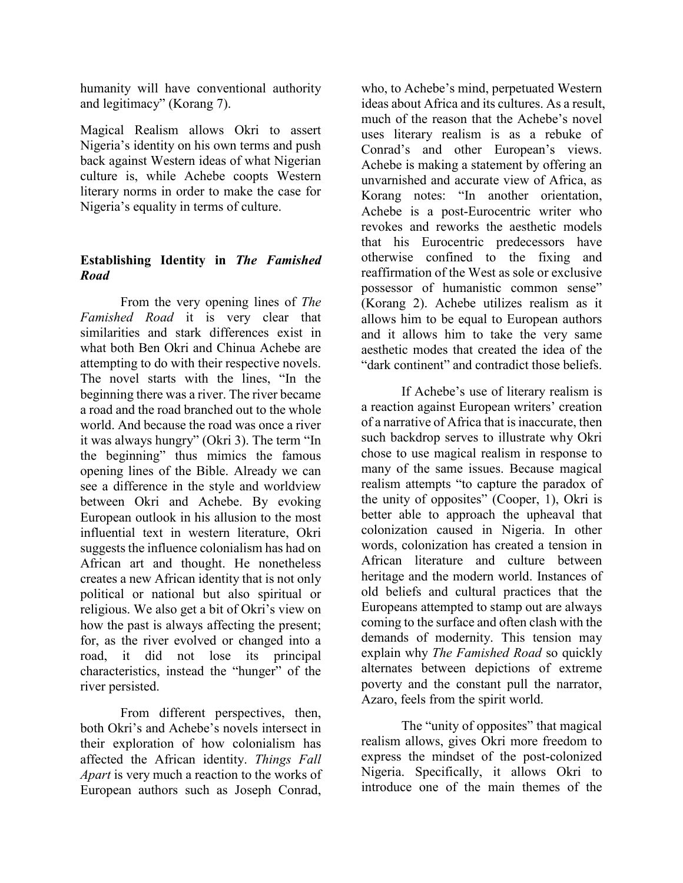humanity will have conventional authority and legitimacy" (Korang 7).

Magical Realism allows Okri to assert Nigeria's identity on his own terms and push back against Western ideas of what Nigerian culture is, while Achebe coopts Western literary norms in order to make the case for Nigeria's equality in terms of culture.

# **Establishing Identity in** *The Famished Road*

From the very opening lines of *The Famished Road* it is very clear that similarities and stark differences exist in what both Ben Okri and Chinua Achebe are attempting to do with their respective novels. The novel starts with the lines, "In the beginning there was a river. The river became a road and the road branched out to the whole world. And because the road was once a river it was always hungry" (Okri 3). The term "In the beginning" thus mimics the famous opening lines of the Bible. Already we can see a difference in the style and worldview between Okri and Achebe. By evoking European outlook in his allusion to the most influential text in western literature, Okri suggests the influence colonialism has had on African art and thought. He nonetheless creates a new African identity that is not only political or national but also spiritual or religious. We also get a bit of Okri's view on how the past is always affecting the present; for, as the river evolved or changed into a road, it did not lose its principal characteristics, instead the "hunger" of the river persisted.

From different perspectives, then, both Okri's and Achebe's novels intersect in their exploration of how colonialism has affected the African identity. *Things Fall Apart* is very much a reaction to the works of European authors such as Joseph Conrad,

who, to Achebe's mind, perpetuated Western ideas about Africa and its cultures. As a result, much of the reason that the Achebe's novel uses literary realism is as a rebuke of Conrad's and other European's views. Achebe is making a statement by offering an unvarnished and accurate view of Africa, as Korang notes: "In another orientation, Achebe is a post-Eurocentric writer who revokes and reworks the aesthetic models that his Eurocentric predecessors have otherwise confined to the fixing and reaffirmation of the West as sole or exclusive possessor of humanistic common sense" (Korang 2). Achebe utilizes realism as it allows him to be equal to European authors and it allows him to take the very same aesthetic modes that created the idea of the "dark continent" and contradict those beliefs.

If Achebe's use of literary realism is a reaction against European writers' creation of a narrative of Africa that is inaccurate, then such backdrop serves to illustrate why Okri chose to use magical realism in response to many of the same issues. Because magical realism attempts "to capture the paradox of the unity of opposites"  $(Cooper, 1)$ , Okri is better able to approach the upheaval that colonization caused in Nigeria. In other words, colonization has created a tension in African literature and culture between heritage and the modern world. Instances of old beliefs and cultural practices that the Europeans attempted to stamp out are always coming to the surface and often clash with the demands of modernity. This tension may explain why *The Famished Road* so quickly alternates between depictions of extreme poverty and the constant pull the narrator, Azaro, feels from the spirit world.

The "unity of opposites" that magical realism allows, gives Okri more freedom to express the mindset of the post-colonized Nigeria. Specifically, it allows Okri to introduce one of the main themes of the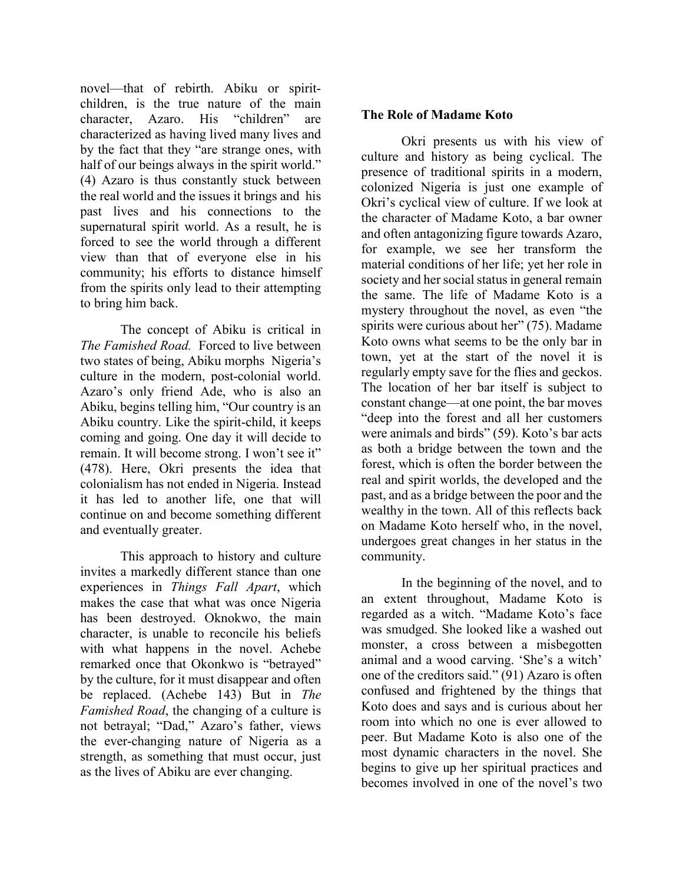novel—that of rebirth. Abiku or spiritchildren, is the true nature of the main character, Azaro. His "children" are characterized as having lived many lives and by the fact that they "are strange ones, with half of our beings always in the spirit world." (4) Azaro is thus constantly stuck between the real world and the issues it brings and his past lives and his connections to the supernatural spirit world. As a result, he is forced to see the world through a different view than that of everyone else in his community; his efforts to distance himself from the spirits only lead to their attempting to bring him back.

The concept of Abiku is critical in *The Famished Road.* Forced to live between two states of being, Abiku morphs Nigeria's culture in the modern, post-colonial world. Azaro's only friend Ade, who is also an Abiku, begins telling him, "Our country is an Abiku country. Like the spirit-child, it keeps coming and going. One day it will decide to remain. It will become strong. I won't see it" (478). Here, Okri presents the idea that colonialism has not ended in Nigeria. Instead it has led to another life, one that will continue on and become something different and eventually greater.

This approach to history and culture invites a markedly different stance than one experiences in *Things Fall Apart*, which makes the case that what was once Nigeria has been destroyed. Oknokwo, the main character, is unable to reconcile his beliefs with what happens in the novel. Achebe remarked once that Okonkwo is "betrayed" by the culture, for it must disappear and often be replaced. (Achebe 143) But in *The Famished Road*, the changing of a culture is not betrayal; "Dad," Azaro's father, views the ever-changing nature of Nigeria as a strength, as something that must occur, just as the lives of Abiku are ever changing.

## **The Role of Madame Koto**

Okri presents us with his view of culture and history as being cyclical. The presence of traditional spirits in a modern, colonized Nigeria is just one example of Okri's cyclical view of culture. If we look at the character of Madame Koto, a bar owner and often antagonizing figure towards Azaro, for example, we see her transform the material conditions of her life; yet her role in society and her social status in general remain the same. The life of Madame Koto is a mystery throughout the novel, as even "the spirits were curious about her" (75). Madame Koto owns what seems to be the only bar in town, yet at the start of the novel it is regularly empty save for the flies and geckos. The location of her bar itself is subject to constant change—at one point, the bar moves "deep into the forest and all her customers were animals and birds" (59). Koto's bar acts as both a bridge between the town and the forest, which is often the border between the real and spirit worlds, the developed and the past, and as a bridge between the poor and the wealthy in the town. All of this reflects back on Madame Koto herself who, in the novel, undergoes great changes in her status in the community.

In the beginning of the novel, and to an extent throughout, Madame Koto is regarded as a witch. "Madame Koto's face was smudged. She looked like a washed out monster, a cross between a misbegotten animal and a wood carving. 'She's a witch' one of the creditors said." (91) Azaro is often confused and frightened by the things that Koto does and says and is curious about her room into which no one is ever allowed to peer. But Madame Koto is also one of the most dynamic characters in the novel. She begins to give up her spiritual practices and becomes involved in one of the novel's two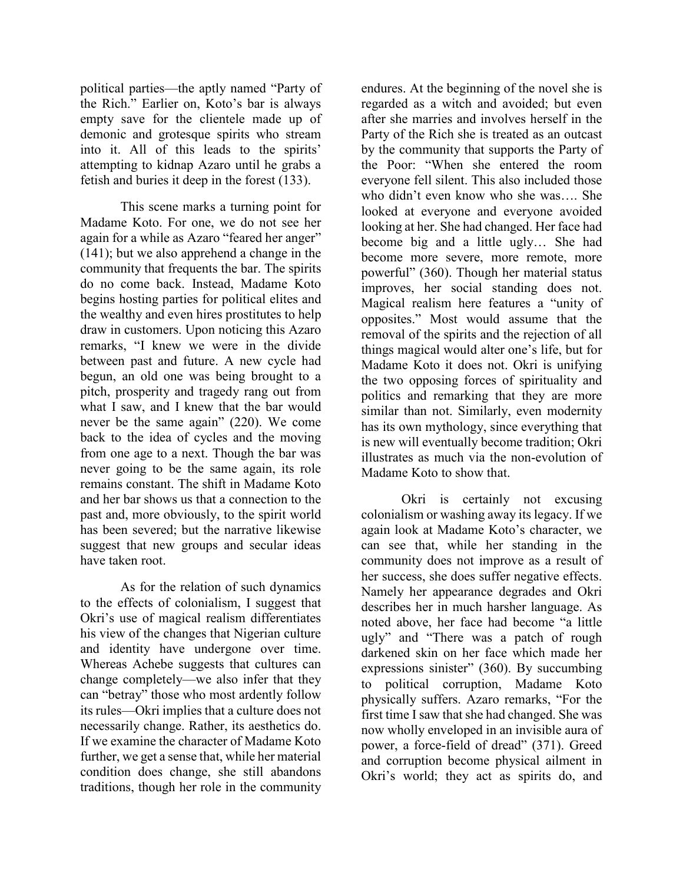political parties—the aptly named "Party of the Rich." Earlier on, Koto's bar is always empty save for the clientele made up of demonic and grotesque spirits who stream into it. All of this leads to the spirits' attempting to kidnap Azaro until he grabs a fetish and buries it deep in the forest (133).

This scene marks a turning point for Madame Koto. For one, we do not see her again for a while as Azaro "feared her anger" (141); but we also apprehend a change in the community that frequents the bar. The spirits do no come back. Instead, Madame Koto begins hosting parties for political elites and the wealthy and even hires prostitutes to help draw in customers. Upon noticing this Azaro remarks, "I knew we were in the divide between past and future. A new cycle had begun, an old one was being brought to a pitch, prosperity and tragedy rang out from what I saw, and I knew that the bar would never be the same again" (220). We come back to the idea of cycles and the moving from one age to a next. Though the bar was never going to be the same again, its role remains constant. The shift in Madame Koto and her bar shows us that a connection to the past and, more obviously, to the spirit world has been severed; but the narrative likewise suggest that new groups and secular ideas have taken root.

As for the relation of such dynamics to the effects of colonialism, I suggest that Okri's use of magical realism differentiates his view of the changes that Nigerian culture and identity have undergone over time. Whereas Achebe suggests that cultures can change completely—we also infer that they can "betray" those who most ardently follow its rules—Okri implies that a culture does not necessarily change. Rather, its aesthetics do. If we examine the character of Madame Koto further, we get a sense that, while her material condition does change, she still abandons traditions, though her role in the community

endures. At the beginning of the novel she is regarded as a witch and avoided; but even after she marries and involves herself in the Party of the Rich she is treated as an outcast by the community that supports the Party of the Poor: "When she entered the room everyone fell silent. This also included those who didn't even know who she was…. She looked at everyone and everyone avoided looking at her. She had changed. Her face had become big and a little ugly… She had become more severe, more remote, more powerful" (360). Though her material status improves, her social standing does not. Magical realism here features a "unity of opposites." Most would assume that the removal of the spirits and the rejection of all things magical would alter one's life, but for Madame Koto it does not. Okri is unifying the two opposing forces of spirituality and politics and remarking that they are more similar than not. Similarly, even modernity has its own mythology, since everything that is new will eventually become tradition; Okri illustrates as much via the non-evolution of Madame Koto to show that.

Okri is certainly not excusing colonialism or washing away its legacy. If we again look at Madame Koto's character, we can see that, while her standing in the community does not improve as a result of her success, she does suffer negative effects. Namely her appearance degrades and Okri describes her in much harsher language. As noted above, her face had become "a little ugly" and "There was a patch of rough darkened skin on her face which made her expressions sinister" (360). By succumbing to political corruption, Madame Koto physically suffers. Azaro remarks, "For the first time I saw that she had changed. She was now wholly enveloped in an invisible aura of power, a force-field of dread" (371). Greed and corruption become physical ailment in Okri's world; they act as spirits do, and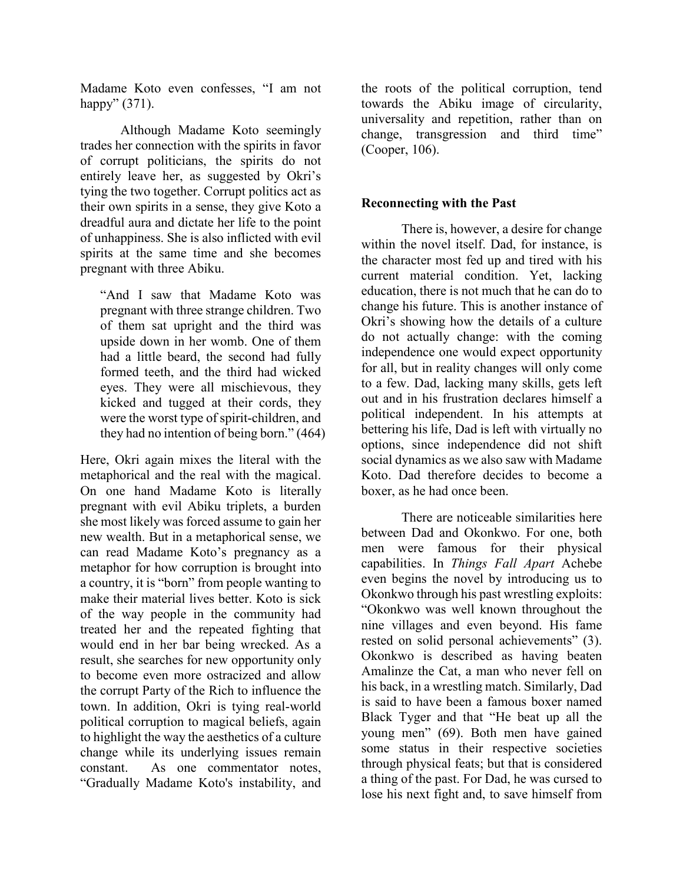Madame Koto even confesses, "I am not happy" (371).

Although Madame Koto seemingly trades her connection with the spirits in favor of corrupt politicians, the spirits do not entirely leave her, as suggested by Okri's tying the two together. Corrupt politics act as their own spirits in a sense, they give Koto a dreadful aura and dictate her life to the point of unhappiness. She is also inflicted with evil spirits at the same time and she becomes pregnant with three Abiku.

"And I saw that Madame Koto was pregnant with three strange children. Two of them sat upright and the third was upside down in her womb. One of them had a little beard, the second had fully formed teeth, and the third had wicked eyes. They were all mischievous, they kicked and tugged at their cords, they were the worst type of spirit-children, and they had no intention of being born." (464)

Here, Okri again mixes the literal with the metaphorical and the real with the magical. On one hand Madame Koto is literally pregnant with evil Abiku triplets, a burden she most likely was forced assume to gain her new wealth. But in a metaphorical sense, we can read Madame Koto's pregnancy as a metaphor for how corruption is brought into a country, it is "born" from people wanting to make their material lives better. Koto is sick of the way people in the community had treated her and the repeated fighting that would end in her bar being wrecked. As a result, she searches for new opportunity only to become even more ostracized and allow the corrupt Party of the Rich to influence the town. In addition, Okri is tying real-world political corruption to magical beliefs, again to highlight the way the aesthetics of a culture change while its underlying issues remain constant. As one commentator notes, "Gradually Madame Koto's instability, and

the roots of the political corruption, tend towards the Abiku image of circularity, universality and repetition, rather than on change, transgression and third time" (Cooper, 106).

## **Reconnecting with the Past**

There is, however, a desire for change within the novel itself. Dad, for instance, is the character most fed up and tired with his current material condition. Yet, lacking education, there is not much that he can do to change his future. This is another instance of Okri's showing how the details of a culture do not actually change: with the coming independence one would expect opportunity for all, but in reality changes will only come to a few. Dad, lacking many skills, gets left out and in his frustration declares himself a political independent. In his attempts at bettering his life, Dad is left with virtually no options, since independence did not shift social dynamics as we also saw with Madame Koto. Dad therefore decides to become a boxer, as he had once been.

There are noticeable similarities here between Dad and Okonkwo. For one, both men were famous for their physical capabilities. In *Things Fall Apart* Achebe even begins the novel by introducing us to Okonkwo through his past wrestling exploits: "Okonkwo was well known throughout the nine villages and even beyond. His fame rested on solid personal achievements" (3). Okonkwo is described as having beaten Amalinze the Cat, a man who never fell on his back, in a wrestling match. Similarly, Dad is said to have been a famous boxer named Black Tyger and that "He beat up all the young men" (69). Both men have gained some status in their respective societies through physical feats; but that is considered a thing of the past. For Dad, he was cursed to lose his next fight and, to save himself from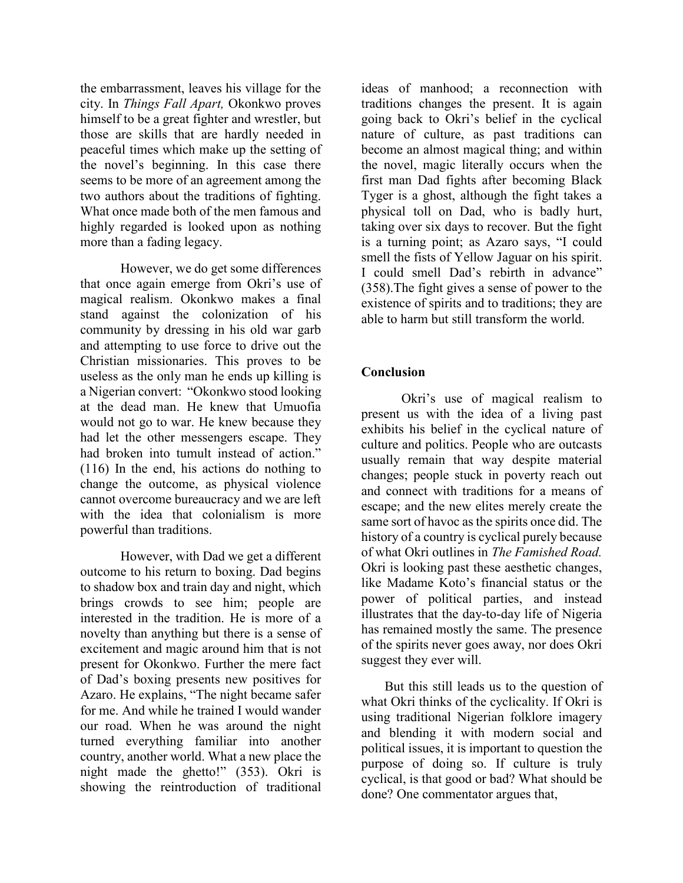the embarrassment, leaves his village for the city. In *Things Fall Apart,* Okonkwo proves himself to be a great fighter and wrestler, but those are skills that are hardly needed in peaceful times which make up the setting of the novel's beginning. In this case there seems to be more of an agreement among the two authors about the traditions of fighting. What once made both of the men famous and highly regarded is looked upon as nothing more than a fading legacy.

However, we do get some differences that once again emerge from Okri's use of magical realism. Okonkwo makes a final stand against the colonization of his community by dressing in his old war garb and attempting to use force to drive out the Christian missionaries. This proves to be useless as the only man he ends up killing is a Nigerian convert: "Okonkwo stood looking at the dead man. He knew that Umuofia would not go to war. He knew because they had let the other messengers escape. They had broken into tumult instead of action." (116) In the end, his actions do nothing to change the outcome, as physical violence cannot overcome bureaucracy and we are left with the idea that colonialism is more powerful than traditions.

However, with Dad we get a different outcome to his return to boxing. Dad begins to shadow box and train day and night, which brings crowds to see him; people are interested in the tradition. He is more of a novelty than anything but there is a sense of excitement and magic around him that is not present for Okonkwo. Further the mere fact of Dad's boxing presents new positives for Azaro. He explains, "The night became safer for me. And while he trained I would wander our road. When he was around the night turned everything familiar into another country, another world. What a new place the night made the ghetto!" (353). Okri is showing the reintroduction of traditional

ideas of manhood; a reconnection with traditions changes the present. It is again going back to Okri's belief in the cyclical nature of culture, as past traditions can become an almost magical thing; and within the novel, magic literally occurs when the first man Dad fights after becoming Black Tyger is a ghost, although the fight takes a physical toll on Dad, who is badly hurt, taking over six days to recover. But the fight is a turning point; as Azaro says, "I could smell the fists of Yellow Jaguar on his spirit. I could smell Dad's rebirth in advance" (358).The fight gives a sense of power to the existence of spirits and to traditions; they are able to harm but still transform the world.

# **Conclusion**

Okri's use of magical realism to present us with the idea of a living past exhibits his belief in the cyclical nature of culture and politics. People who are outcasts usually remain that way despite material changes; people stuck in poverty reach out and connect with traditions for a means of escape; and the new elites merely create the same sort of havoc as the spirits once did. The history of a country is cyclical purely because of what Okri outlines in *The Famished Road.* Okri is looking past these aesthetic changes, like Madame Koto's financial status or the power of political parties, and instead illustrates that the day-to-day life of Nigeria has remained mostly the same. The presence of the spirits never goes away, nor does Okri suggest they ever will.

But this still leads us to the question of what Okri thinks of the cyclicality. If Okri is using traditional Nigerian folklore imagery and blending it with modern social and political issues, it is important to question the purpose of doing so. If culture is truly cyclical, is that good or bad? What should be done? One commentator argues that,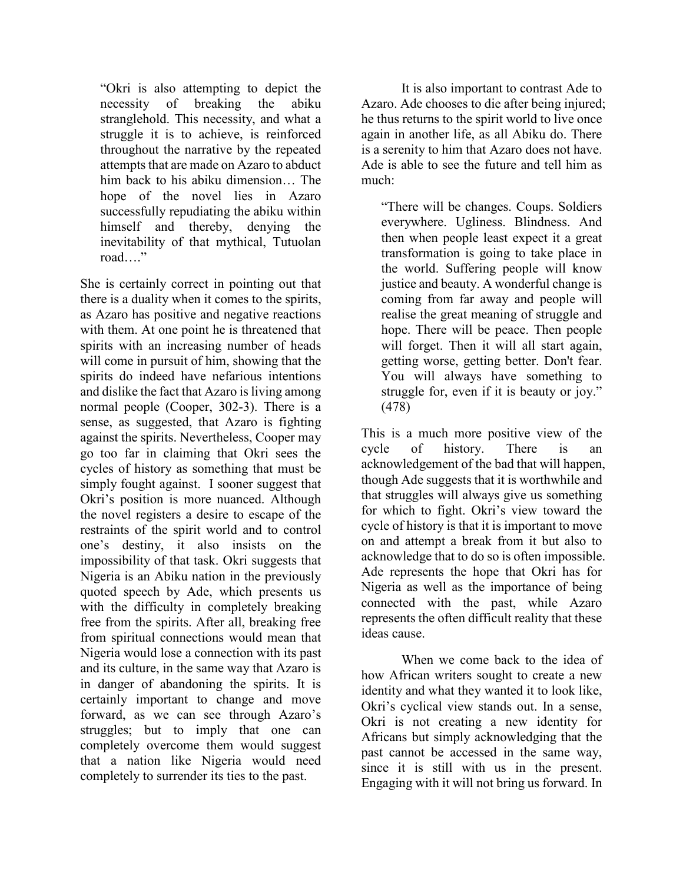"Okri is also attempting to depict the necessity of breaking the abiku stranglehold. This necessity, and what a struggle it is to achieve, is reinforced throughout the narrative by the repeated attempts that are made on Azaro to abduct him back to his abiku dimension… The hope of the novel lies in Azaro successfully repudiating the abiku within himself and thereby, denying the inevitability of that mythical, Tutuolan road…."

She is certainly correct in pointing out that there is a duality when it comes to the spirits, as Azaro has positive and negative reactions with them. At one point he is threatened that spirits with an increasing number of heads will come in pursuit of him, showing that the spirits do indeed have nefarious intentions and dislike the fact that Azaro is living among normal people (Cooper, 302-3). There is a sense, as suggested, that Azaro is fighting against the spirits. Nevertheless, Cooper may go too far in claiming that Okri sees the cycles of history as something that must be simply fought against. I sooner suggest that Okri's position is more nuanced. Although the novel registers a desire to escape of the restraints of the spirit world and to control one's destiny, it also insists on the impossibility of that task. Okri suggests that Nigeria is an Abiku nation in the previously quoted speech by Ade, which presents us with the difficulty in completely breaking free from the spirits. After all, breaking free from spiritual connections would mean that Nigeria would lose a connection with its past and its culture, in the same way that Azaro is in danger of abandoning the spirits. It is certainly important to change and move forward, as we can see through Azaro's struggles; but to imply that one can completely overcome them would suggest that a nation like Nigeria would need completely to surrender its ties to the past.

It is also important to contrast Ade to Azaro. Ade chooses to die after being injured; he thus returns to the spirit world to live once again in another life, as all Abiku do. There is a serenity to him that Azaro does not have. Ade is able to see the future and tell him as much:

"There will be changes. Coups. Soldiers everywhere. Ugliness. Blindness. And then when people least expect it a great transformation is going to take place in the world. Suffering people will know justice and beauty. A wonderful change is coming from far away and people will realise the great meaning of struggle and hope. There will be peace. Then people will forget. Then it will all start again, getting worse, getting better. Don't fear. You will always have something to struggle for, even if it is beauty or joy." (478)

This is a much more positive view of the cycle of history. There is an acknowledgement of the bad that will happen, though Ade suggests that it is worthwhile and that struggles will always give us something for which to fight. Okri's view toward the cycle of history is that it is important to move on and attempt a break from it but also to acknowledge that to do so is often impossible. Ade represents the hope that Okri has for Nigeria as well as the importance of being connected with the past, while Azaro represents the often difficult reality that these ideas cause.

When we come back to the idea of how African writers sought to create a new identity and what they wanted it to look like, Okri's cyclical view stands out. In a sense, Okri is not creating a new identity for Africans but simply acknowledging that the past cannot be accessed in the same way, since it is still with us in the present. Engaging with it will not bring us forward. In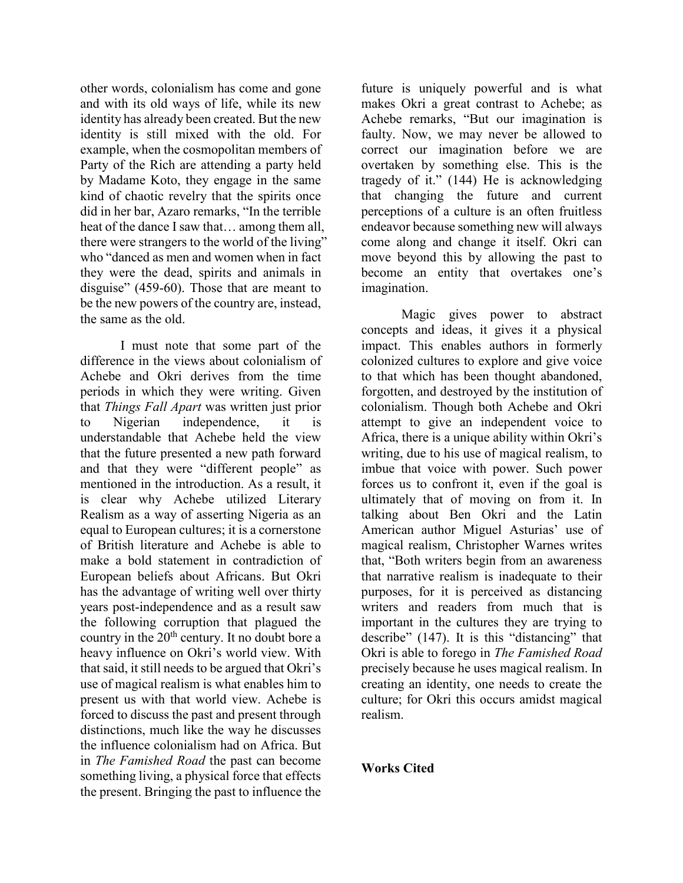other words, colonialism has come and gone and with its old ways of life, while its new identity has already been created. But the new identity is still mixed with the old. For example, when the cosmopolitan members of Party of the Rich are attending a party held by Madame Koto, they engage in the same kind of chaotic revelry that the spirits once did in her bar, Azaro remarks, "In the terrible heat of the dance I saw that… among them all, there were strangers to the world of the living" who "danced as men and women when in fact they were the dead, spirits and animals in disguise" (459-60). Those that are meant to be the new powers of the country are, instead, the same as the old.

I must note that some part of the difference in the views about colonialism of Achebe and Okri derives from the time periods in which they were writing. Given that *Things Fall Apart* was written just prior to Nigerian independence, it is understandable that Achebe held the view that the future presented a new path forward and that they were "different people" as mentioned in the introduction. As a result, it is clear why Achebe utilized Literary Realism as a way of asserting Nigeria as an equal to European cultures; it is a cornerstone of British literature and Achebe is able to make a bold statement in contradiction of European beliefs about Africans. But Okri has the advantage of writing well over thirty years post-independence and as a result saw the following corruption that plagued the country in the  $20<sup>th</sup>$  century. It no doubt bore a heavy influence on Okri's world view. With that said, it still needs to be argued that Okri's use of magical realism is what enables him to present us with that world view. Achebe is forced to discuss the past and present through distinctions, much like the way he discusses the influence colonialism had on Africa. But in *The Famished Road* the past can become something living, a physical force that effects the present. Bringing the past to influence the

future is uniquely powerful and is what makes Okri a great contrast to Achebe; as Achebe remarks, "But our imagination is faulty. Now, we may never be allowed to correct our imagination before we are overtaken by something else. This is the tragedy of it." (144) He is acknowledging that changing the future and current perceptions of a culture is an often fruitless endeavor because something new will always come along and change it itself. Okri can move beyond this by allowing the past to become an entity that overtakes one's imagination.

Magic gives power to abstract concepts and ideas, it gives it a physical impact. This enables authors in formerly colonized cultures to explore and give voice to that which has been thought abandoned, forgotten, and destroyed by the institution of colonialism. Though both Achebe and Okri attempt to give an independent voice to Africa, there is a unique ability within Okri's writing, due to his use of magical realism, to imbue that voice with power. Such power forces us to confront it, even if the goal is ultimately that of moving on from it. In talking about Ben Okri and the Latin American author Miguel Asturias' use of magical realism, Christopher Warnes writes that, "Both writers begin from an awareness that narrative realism is inadequate to their purposes, for it is perceived as distancing writers and readers from much that is important in the cultures they are trying to describe" (147). It is this "distancing" that Okri is able to forego in *The Famished Road* precisely because he uses magical realism. In creating an identity, one needs to create the culture; for Okri this occurs amidst magical realism.

## **Works Cited**